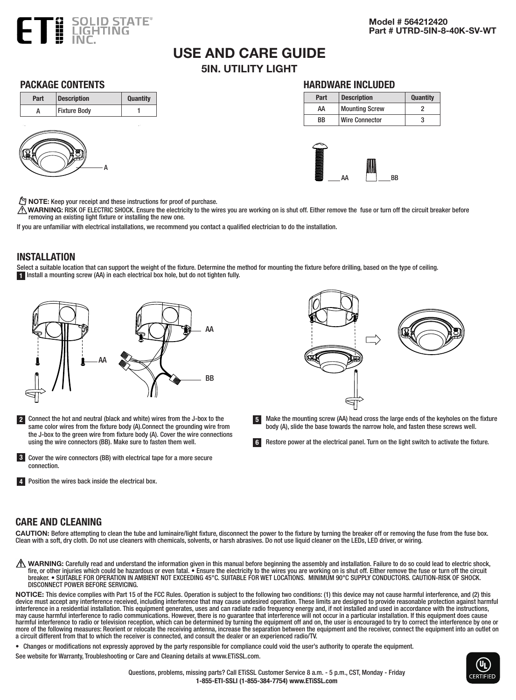

# USE AND CARE GUIDE

5IN. UTILITY LIGHT

#### PACKAGE CONTENTS





#### HARDWARE INCLUDED

| Part | <b>Description</b>    | <b>Quantity</b> |
|------|-----------------------|-----------------|
| АΑ   | <b>Mounting Screw</b> |                 |
| ВB   | Wire Connector        |                 |



 $\mathbb{M}$  NOTE: Keep your receipt and these instructions for proof of purchase.

 $\bigwedge$ WARNING: RISK OF ELECTRIC SHOCK. Ensure the electricity to the wires you are working on is shut off. Either remove the fuse or turn off the circuit breaker before removing an existing light fixture or installing the new one.

If you are unfamiliar with electrical installations, we recommend you contact a qualified electrician to do the installation.

#### INSTALLATION

Select a suitable location that can support the weight of the fixture. Determine the method for mounting the fixture before drilling, based on the type of ceiling. 1 Install a mounting screw (AA) in each electrical box hole, but do not tighten fully.



- 2 Connect the hot and neutral (black and white) wires from the J-box to the same color wires from the fixture body (A).Connect the grounding wire from the J-box to the green wire from fixture body (A). Cover the wire connections using the wire connectors (BB). Make sure to fasten them well.
- 
- Make the mounting screw (AA) head cross the large ends of the keyholes on the fixture body (A), slide the base towards the narrow hole, and fasten these screws well. 5

Restore power at the electrical panel. Turn on the light switch to activate the fixture. 6

- 3 Cover the wire connectors (BB) with electrical tape for a more secure connection.
- 4 Position the wires back inside the electrical box.

#### CARE AND CLEANING

CAUTION: Before attempting to clean the tube and luminaire/light fixture, disconnect the power to the fixture by turning the breaker off or removing the fuse from the fuse box. Clean with a soft, dry cloth. Do not use cleaners with chemicals, solvents, or harsh abrasives. Do not use liquid cleaner on the LEDs, LED driver, or wiring.

 $\Lambda$  WARNING: Carefully read and understand the information given in this manual before beginning the assembly and installation. Failure to do so could lead to electric shock, fire, or other injuries which could be hazardous or even fatal. • Ensure the electricity to the wires you are working on is shut off. Either remove the fuse or turn off the circuit breaker. • SUITABLE FOR OPERATION IN AMBIENT NOT EXCEEDING 45°C. SUITABLE FOR WET LOCATIONS. MINIMUM 90°C SUPPLY CONDUCTORS. CAUTION-RISK OF SHOCK. DISCONNECT POWER BEFORE SERVICING.

NOTICE: This device complies with Part 15 of the FCC Rules. Operation is subject to the following two conditions: (1) this device may not cause harmful interference, and (2) this device must accept any interference received, including interference that may cause undesired operation. These limits are designed to provide reasonable protection against harmful interference in a residential installation. This equipment generates, uses and can radiate radio frequency energy and, if not installed and used in accordance with the instructions, may cause harmful interference to radio communications. However, there is no guarantee that interference will not occur in a particular installation. If this equipment does cause harmful interference to radio or television reception, which can be determined by turning the equipment off and on, the user is encouraged to try to correct the interference by one or more of the following measures: Reorient or relocate the receiving antenna, increase the separation between the equipment and the receiver, connect the equipment into an outlet on a circuit different from that to which the receiver is connected, and consult the dealer or an experienced radio/TV.

• Changes or modifications not expressly approved by the party responsible for compliance could void the user's authority to operate the equipment.

See website for Warranty, Troubleshooting or Care and Cleaning details at www.ETiSSL.com.

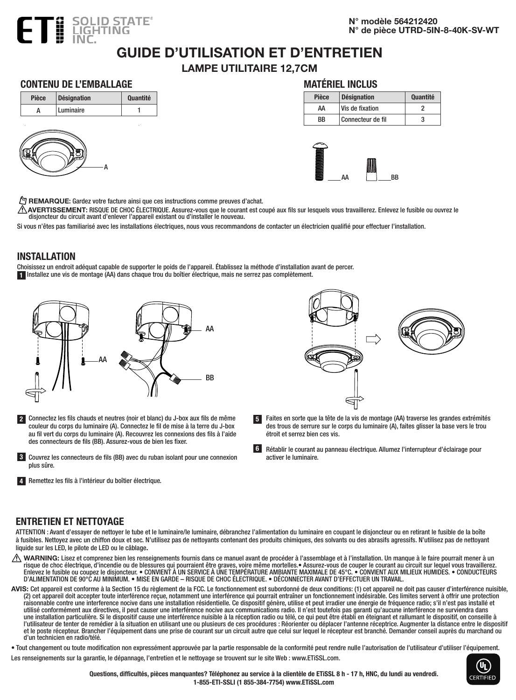

N° modèle 564212420 N° de pièce UTRD-5IN-8-40K-SV-WT

### GUIDE D'UTILISATION ET D'ENTRETIEN

LAMPE UTILITAIRE 12,7CM

#### CONTENU DE L'EMBALLAGE





| Pièce | Désignation     | <b>Ouantité</b> |  |
|-------|-----------------|-----------------|--|
| ۸۸    | Wie de fivation |                 |  |

MATÉRIEL INCLUS

| ΔΔ | Vis de fixation   |  |
|----|-------------------|--|
| ВB | Connecteur de fil |  |
|    |                   |  |



 $\ell$ <sup>9</sup> REMARQUE: Gardez votre facture ainsi que ces instructions comme preuves d'achat.

AVERTISSEMENT: RISQUE DE CHOC ÉLECTRIQUE. Assurez-vous que le courant est coupé aux fils sur lesquels vous travaillerez. Enlevez le fusible ou ouvrez le disjoncteur du circuit avant d'enlever l'appareil existant ou d'installer le nouveau.

Si vous n'êtes pas familiarisé avec les installations électriques, nous vous recommandons de contacter un électricien qualifié pour effectuer l'installation.

#### INSTALLATION

Choisissez un endroit adéquat capable de supporter le poids de l'appareil. Établissez la méthode d'installation avant de percer. 1 Installez une vis de montage (AA) dans chaque trou du boîtier électrique, mais ne serrez pas complètement.



- 2 Connectez les fils chauds et neutres (noir et blanc) du J-box aux fils de même couleur du corps du luminaire (A). Connectez le fil de mise à la terre du J-box au fil vert du corps du luminaire (A). Recouvrez les connexions des fils à l'aide des connecteurs de fils (BB). Assurez-vous de bien les fixer.
- 3 Couvrez les connecteurs de fils (BB) avec du ruban isolant pour une connexion plus sûre.

4 Remettez les fils à l'intérieur du boîtier électrique.



- Faites en sorte que la tête de la vis de montage (AA) traverse les grandes extrémités des trous de serrure sur le corps du luminaire (A), faites glisser la base vers le trou étroit et serrez bien ces vis. 5
- 6 Rétablir le courant au panneau électrique. Allumez l'interrupteur d'éclairage pour activer le luminaire.

#### ENTRETIEN ET NETTOYAGE

ATTENTION : Avant d'essayer de nettoyer le tube et le luminaire/le luminaire, débranchez l'alimentation du luminaire en coupant le disjoncteur ou en retirant le fusible de la boîte à fusibles. Nettoyez avec un chiffon doux et sec. N'utilisez pas de nettoyants contenant des produits chimiques, des solvants ou des abrasifs agressifs. N'utilisez pas de nettoyant liquide sur les LED, le pilote de LED ou le câblage.

- $\triangle$  WARNING: Lisez et comprenez bien les renseignements fournis dans ce manuel avant de procéder à l'assemblage et à l'installation. Un manque à le faire pourrait mener à un risque de choc électrique, d'incendie ou de blessures qui pourraient être graves, voire même mortelles.• Assurez-vous de couper le courant au circuit sur lequel vous travaillerez. Enlevez le fusible ou coupez le disjoncteur. • CONVIENT À UN SERVICE À UNE TEMPÉRATURE AMBIANTE MAXIMALE DE 45°C. • CONVIENT AUX MILIEUX HUMIDES. • CONDUCTEURS D'ALIMENTATION DE 90°C AU MINIMUM. • MISE EN GARDE – RISQUE DE CHOC ÉLECTRIQUE. • DÉCONNECTER AVANT D'EFFECTUER UN TRAVAIL.
- AVIS: Cet appareil est conforme à la Section 15 du règlement de la FCC. Le fonctionnement est subordonné de deux conditions: (1) cet appareil ne doit pas causer d'interférence nuisible, (2) cet appareil doit accepter toute interférence reçue, notamment une interférence qui pourrait entraîner un fonctionnement indésirable. Ces limites servent à offrir une protection raisonnable contre une interference nocive dans une installation résidentielle. Ce dispositif génère, utilise et peut irradier une énergie de fréquence radio; s'il n'est pas installé et utilisé conformément aux directives, il peut causer une interférence nocive aux communications radio. Il n'est toutefois pas garanti qu'aucune interférence ne surviendra dans une installation particulière. Si le dispositif cause une interférence nuisible à la réception radio ou télé, ce qui peut être établi en éteignant et rallumant le dispositif, on conseille à l'utilisateur de tenter de remédier à la situation en utilisant une ou plusieurs de ces procédures : Réorienter ou déplacer l'antenne réceptrice. Augmenter la distance entre le dispositif et le poste récepteur. Brancher l'équipement dans une prise de courant sur un circuit autre que celui sur lequel le récepteur est branché. Demander conseil auprès du marchand ou d'un technicien en radio/télé.
- Tout changement ou toute modification non expressément approuvée par la partie responsable de la conformité peut rendre nulle l'autorisation de l'utilisateur d'utiliser l'équipement.

Les renseignements sur la garantie, le dépannage, l'entretien et le nettoyage se trouvent sur le site Web : www.ETiSSL.com.